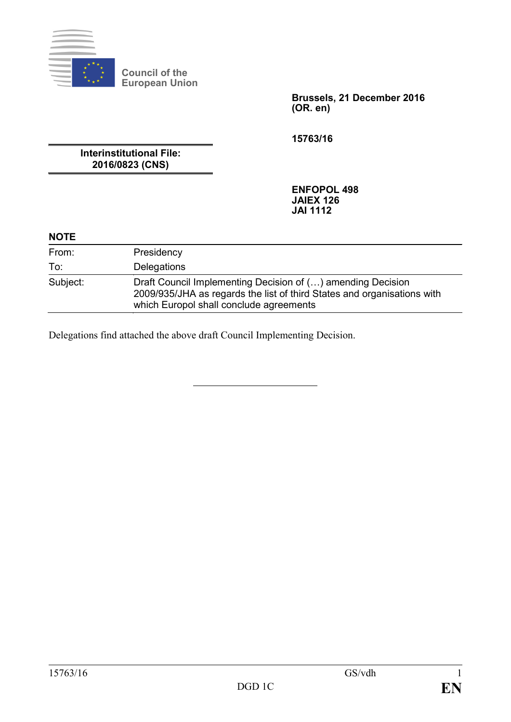

**Council of the European Union**

> **Brussels, 21 December 2016 (OR. en)**

**15763/16**

**Interinstitutional File: 2016/0823 (CNS)**

> **ENFOPOL 498 JAIEX 126 JAI 1112**

## **NOTE**

| From:    | Presidency                                                                                                                                                                        |
|----------|-----------------------------------------------------------------------------------------------------------------------------------------------------------------------------------|
| To:      | Delegations                                                                                                                                                                       |
| Subject: | Draft Council Implementing Decision of () amending Decision<br>2009/935/JHA as regards the list of third States and organisations with<br>which Europol shall conclude agreements |

Delegations find attached the above draft Council Implementing Decision.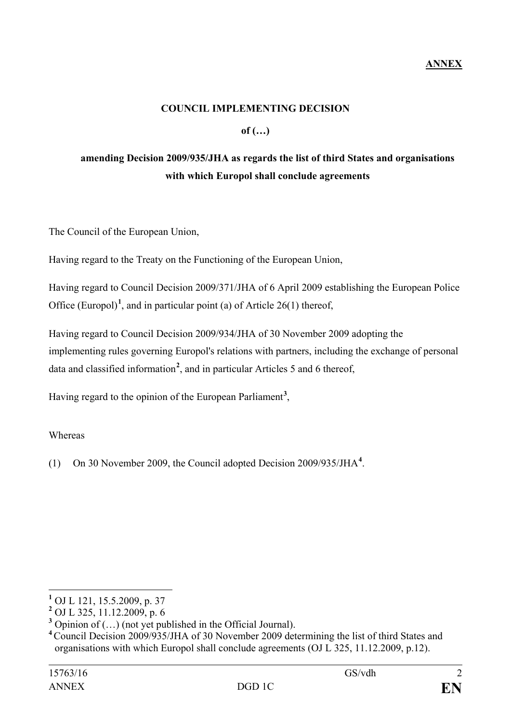#### **COUNCIL IMPLEMENTING DECISION**

#### **of (…)**

# **amending Decision 2009/935/JHA as regards the list of third States and organisations with which Europol shall conclude agreements**

The Council of the European Union,

Having regard to the Treaty on the Functioning of the European Union,

Having regard to Council Decision 2009/371/JHA of 6 April 2009 establishing the European Police Office  $(Europol)<sup>1</sup>$  $(Europol)<sup>1</sup>$  $(Europol)<sup>1</sup>$ , and in particular point (a) of Article 26(1) thereof,

Having regard to Council Decision 2009/934/JHA of 30 November 2009 adopting the implementing rules governing Europol's relations with partners, including the exchange of personal data and classified information**[2](#page-1-1)** , and in particular Articles 5 and 6 thereof,

Having regard to the opinion of the European Parliament<sup>[3](#page-1-2)</sup>,

#### Whereas

(1) On 30 November 2009, the Council adopted Decision 2009/935/JHA**[4](#page-1-3)** .

<span id="page-1-0"></span>**<sup>1</sup>** OJ L 121, 15.5.2009, p. <sup>37</sup>

<span id="page-1-1"></span>**<sup>2</sup>** OJ L 325, 11.12.2009, p. 6

<span id="page-1-2"></span>**<sup>3</sup>** Opinion of (…) (not yet published in the Official Journal).

<span id="page-1-3"></span>**<sup>4</sup>** Council Decision 2009/935/JHA of 30 November 2009 determining the list of third States and organisations with which Europol shall conclude agreements (OJ L 325, 11.12.2009, p.12).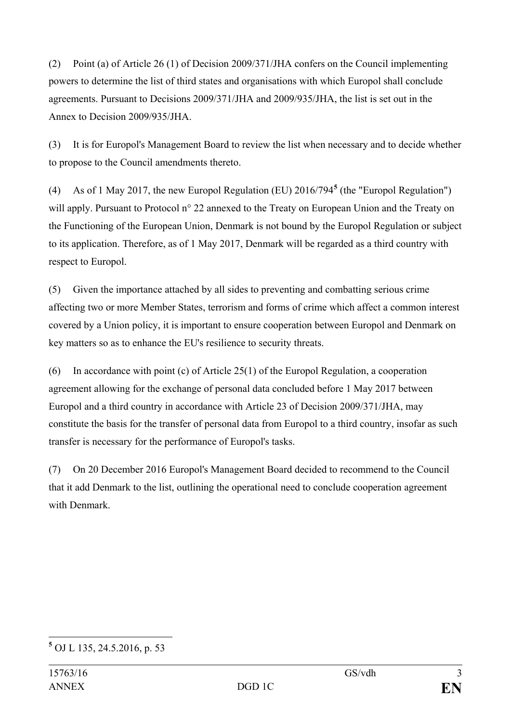(2) Point (a) of Article 26 (1) of Decision 2009/371/JHA confers on the Council implementing powers to determine the list of third states and organisations with which Europol shall conclude agreements. Pursuant to Decisions 2009/371/JHA and 2009/935/JHA, the list is set out in the Annex to Decision 2009/935/JHA.

(3) It is for Europol's Management Board to review the list when necessary and to decide whether to propose to the Council amendments thereto.

(4) As of 1 May 2017, the new Europol Regulation (EU) 2016/794**[5](#page-2-0)** (the "Europol Regulation") will apply. Pursuant to Protocol n° 22 annexed to the Treaty on European Union and the Treaty on the Functioning of the European Union, Denmark is not bound by the Europol Regulation or subject to its application. Therefore, as of 1 May 2017, Denmark will be regarded as a third country with respect to Europol.

(5) Given the importance attached by all sides to preventing and combatting serious crime affecting two or more Member States, terrorism and forms of crime which affect a common interest covered by a Union policy, it is important to ensure cooperation between Europol and Denmark on key matters so as to enhance the EU's resilience to security threats.

(6) In accordance with point (c) of Article 25(1) of the Europol Regulation, a cooperation agreement allowing for the exchange of personal data concluded before 1 May 2017 between Europol and a third country in accordance with Article 23 of Decision 2009/371/JHA, may constitute the basis for the transfer of personal data from Europol to a third country, insofar as such transfer is necessary for the performance of Europol's tasks.

(7) On 20 December 2016 Europol's Management Board decided to recommend to the Council that it add Denmark to the list, outlining the operational need to conclude cooperation agreement with Denmark.

<span id="page-2-0"></span>**<sup>5</sup>** OJ L 135, 24.5.2016, p. 53